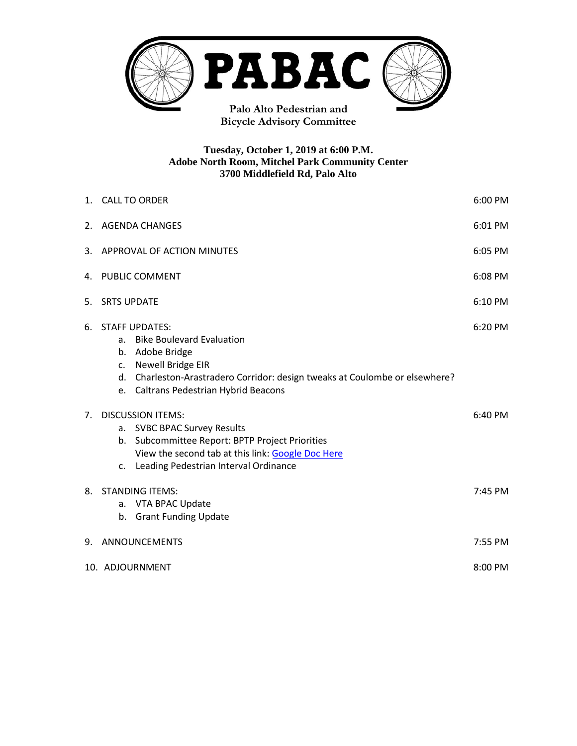

**Bicycle Advisory Committee**

#### **Tuesday, October 1, 2019 at 6:00 P.M. Adobe North Room, Mitchel Park Community Center 3700 Middlefield Rd, Palo Alto**

|                | 6:00 PM<br>1. CALL TO ORDER                                                                                                                                                                                                        |         |  |
|----------------|------------------------------------------------------------------------------------------------------------------------------------------------------------------------------------------------------------------------------------|---------|--|
| 2.             | 6:01 PM<br><b>AGENDA CHANGES</b>                                                                                                                                                                                                   |         |  |
| 3.             | APPROVAL OF ACTION MINUTES<br>6:05 PM                                                                                                                                                                                              |         |  |
| 4.             | PUBLIC COMMENT<br>6:08 PM                                                                                                                                                                                                          |         |  |
| 5.             | <b>SRTS UPDATE</b><br>6:10 PM                                                                                                                                                                                                      |         |  |
| 6.             | <b>STAFF UPDATES:</b><br><b>Bike Boulevard Evaluation</b><br>a.<br>b. Adobe Bridge<br>c. Newell Bridge EIR<br>d. Charleston-Arastradero Corridor: design tweaks at Coulombe or elsewhere?<br>e. Caltrans Pedestrian Hybrid Beacons | 6:20 PM |  |
| 7 <sub>1</sub> | <b>DISCUSSION ITEMS:</b><br><b>SVBC BPAC Survey Results</b><br>а.<br>b. Subcommittee Report: BPTP Project Priorities<br>View the second tab at this link: Google Doc Here<br>c. Leading Pedestrian Interval Ordinance              | 6:40 PM |  |
| 8.             | <b>STANDING ITEMS:</b><br>a. VTA BPAC Update<br>b. Grant Funding Update                                                                                                                                                            | 7:45 PM |  |
| 9.             | ANNOUNCEMENTS<br>7:55 PM                                                                                                                                                                                                           |         |  |
|                | 10. ADJOURNMENT<br>8:00 PM                                                                                                                                                                                                         |         |  |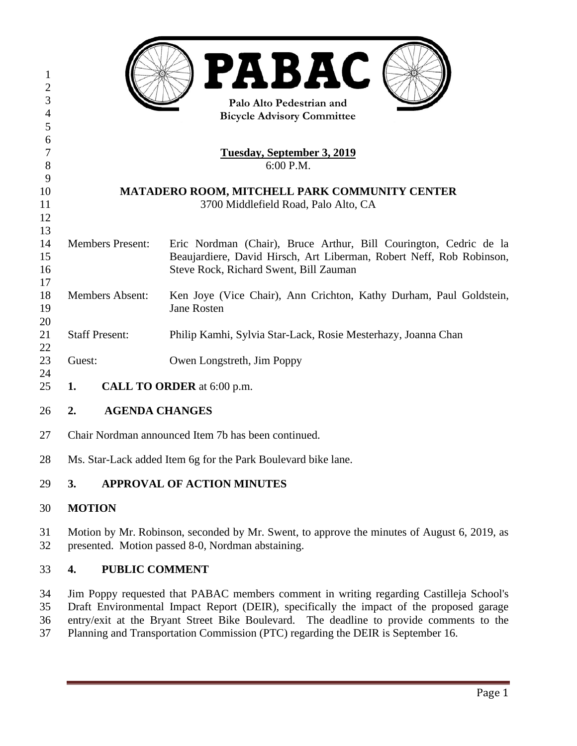| 1<br>$\overline{2}$ |                                               | <b>PABAC</b>                                                                             |  |  |
|---------------------|-----------------------------------------------|------------------------------------------------------------------------------------------|--|--|
| 3<br>$\overline{4}$ | Palo Alto Pedestrian and                      |                                                                                          |  |  |
| 5                   | <b>Bicycle Advisory Committee</b>             |                                                                                          |  |  |
| 6                   |                                               |                                                                                          |  |  |
| 7                   | <b>Tuesday, September 3, 2019</b>             |                                                                                          |  |  |
| 8                   | 6:00 P.M.                                     |                                                                                          |  |  |
| 9                   |                                               |                                                                                          |  |  |
| 10                  | MATADERO ROOM, MITCHELL PARK COMMUNITY CENTER |                                                                                          |  |  |
| 11                  | 3700 Middlefield Road, Palo Alto, CA          |                                                                                          |  |  |
| 12                  |                                               |                                                                                          |  |  |
| 13                  |                                               |                                                                                          |  |  |
| 14                  | <b>Members Present:</b>                       | Eric Nordman (Chair), Bruce Arthur, Bill Courington, Cedric de la                        |  |  |
| 15                  |                                               | Beaujardiere, David Hirsch, Art Liberman, Robert Neff, Rob Robinson,                     |  |  |
| 16                  |                                               | Steve Rock, Richard Swent, Bill Zauman                                                   |  |  |
| 17                  |                                               |                                                                                          |  |  |
| 18<br>19            | <b>Members Absent:</b>                        | Ken Joye (Vice Chair), Ann Crichton, Kathy Durham, Paul Goldstein,<br><b>Jane Rosten</b> |  |  |
| 20                  |                                               |                                                                                          |  |  |
| 21                  | <b>Staff Present:</b>                         | Philip Kamhi, Sylvia Star-Lack, Rosie Mesterhazy, Joanna Chan                            |  |  |
| 22                  |                                               |                                                                                          |  |  |
| 23                  | Guest:                                        | Owen Longstreth, Jim Poppy                                                               |  |  |
| 24                  |                                               |                                                                                          |  |  |
| 25                  | 1.                                            | CALL TO ORDER at 6:00 p.m.                                                               |  |  |
| 26                  | <b>AGENDA CHANGES</b><br>2.                   |                                                                                          |  |  |
| 27                  |                                               | Chair Nordman announced Item 7b has been continued.                                      |  |  |
| 28                  |                                               | Ms. Star-Lack added Item 6g for the Park Boulevard bike lane.                            |  |  |
|                     |                                               |                                                                                          |  |  |

# **3. APPROVAL OF ACTION MINUTES**

# **MOTION**

31 Motion by Mr. Robinson, seconded by Mr. Swent, to approve the minutes of August 6, 2019, as presented. Motion passed 8-0. Nordman abstaining. presented. Motion passed 8-0, Nordman abstaining.

# **4. PUBLIC COMMENT**

 Jim Poppy requested that PABAC members comment in writing regarding Castilleja School's Draft Environmental Impact Report (DEIR), specifically the impact of the proposed garage entry/exit at the Bryant Street Bike Boulevard. The deadline to provide comments to the Planning and Transportation Commission (PTC) regarding the DEIR is September 16.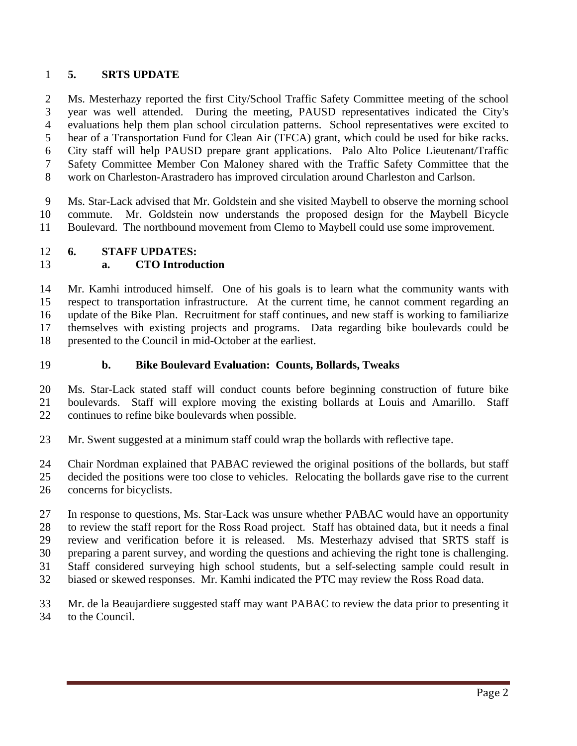# **5. SRTS UPDATE**

 Ms. Mesterhazy reported the first City/School Traffic Safety Committee meeting of the school year was well attended. During the meeting, PAUSD representatives indicated the City's evaluations help them plan school circulation patterns. School representatives were excited to hear of a Transportation Fund for Clean Air (TFCA) grant, which could be used for bike racks. City staff will help PAUSD prepare grant applications. Palo Alto Police Lieutenant/Traffic Safety Committee Member Con Maloney shared with the Traffic Safety Committee that the work on Charleston-Arastradero has improved circulation around Charleston and Carlson.

 Ms. Star-Lack advised that Mr. Goldstein and she visited Maybell to observe the morning school commute. Mr. Goldstein now understands the proposed design for the Maybell Bicycle Boulevard. The northbound movement from Clemo to Maybell could use some improvement.

# **6. STAFF UPDATES:**

# **a. CTO Introduction**

 Mr. Kamhi introduced himself. One of his goals is to learn what the community wants with respect to transportation infrastructure. At the current time, he cannot comment regarding an update of the Bike Plan. Recruitment for staff continues, and new staff is working to familiarize themselves with existing projects and programs. Data regarding bike boulevards could be presented to the Council in mid-October at the earliest.

**b. Bike Boulevard Evaluation: Counts, Bollards, Tweaks**

 Ms. Star-Lack stated staff will conduct counts before beginning construction of future bike boulevards. Staff will explore moving the existing bollards at Louis and Amarillo. Staff continues to refine bike boulevards when possible.

Mr. Swent suggested at a minimum staff could wrap the bollards with reflective tape.

Chair Nordman explained that PABAC reviewed the original positions of the bollards, but staff

decided the positions were too close to vehicles. Relocating the bollards gave rise to the current

concerns for bicyclists.

 In response to questions, Ms. Star-Lack was unsure whether PABAC would have an opportunity to review the staff report for the Ross Road project. Staff has obtained data, but it needs a final review and verification before it is released. Ms. Mesterhazy advised that SRTS staff is preparing a parent survey, and wording the questions and achieving the right tone is challenging. Staff considered surveying high school students, but a self-selecting sample could result in biased or skewed responses. Mr. Kamhi indicated the PTC may review the Ross Road data.

 Mr. de la Beaujardiere suggested staff may want PABAC to review the data prior to presenting it to the Council.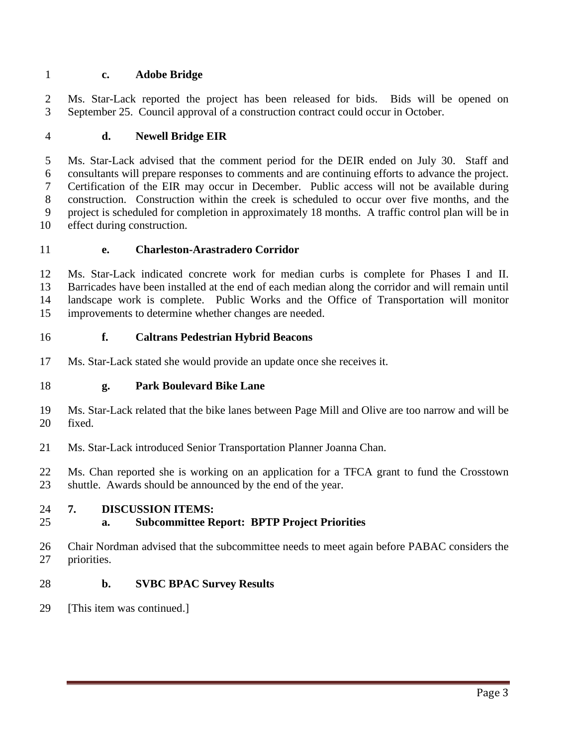# **c. Adobe Bridge**

 Ms. Star-Lack reported the project has been released for bids. Bids will be opened on September 25. Council approval of a construction contract could occur in October.

# **d. Newell Bridge EIR**

 Ms. Star-Lack advised that the comment period for the DEIR ended on July 30. Staff and consultants will prepare responses to comments and are continuing efforts to advance the project. Certification of the EIR may occur in December. Public access will not be available during construction. Construction within the creek is scheduled to occur over five months, and the project is scheduled for completion in approximately 18 months. A traffic control plan will be in effect during construction.

#### **e. Charleston-Arastradero Corridor**

 Ms. Star-Lack indicated concrete work for median curbs is complete for Phases I and II. Barricades have been installed at the end of each median along the corridor and will remain until landscape work is complete. Public Works and the Office of Transportation will monitor improvements to determine whether changes are needed.

#### **f. Caltrans Pedestrian Hybrid Beacons**

- Ms. Star-Lack stated she would provide an update once she receives it.
- **g. Park Boulevard Bike Lane**
- Ms. Star-Lack related that the bike lanes between Page Mill and Olive are too narrow and will be fixed.
- Ms. Star-Lack introduced Senior Transportation Planner Joanna Chan.
- Ms. Chan reported she is working on an application for a TFCA grant to fund the Crosstown shuttle. Awards should be announced by the end of the year.

#### **7. DISCUSSION ITEMS:**

#### **a. Subcommittee Report: BPTP Project Priorities**

 Chair Nordman advised that the subcommittee needs to meet again before PABAC considers the priorities.

#### **b. SVBC BPAC Survey Results**

[This item was continued.]